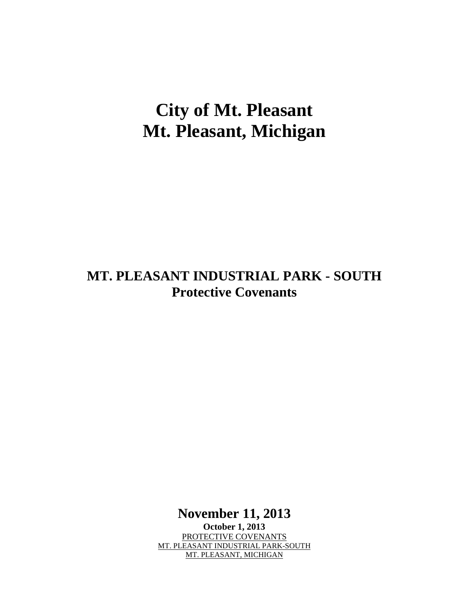# **City of Mt. Pleasant Mt. Pleasant, Michigan**

# **MT. PLEASANT INDUSTRIAL PARK - SOUTH Protective Covenants**

**November 11, 2013**

**October 1, 2013** PROTECTIVE COVENANTS MT. PLEASANT INDUSTRIAL PARK-SOUTH MT. PLEASANT, MICHIGAN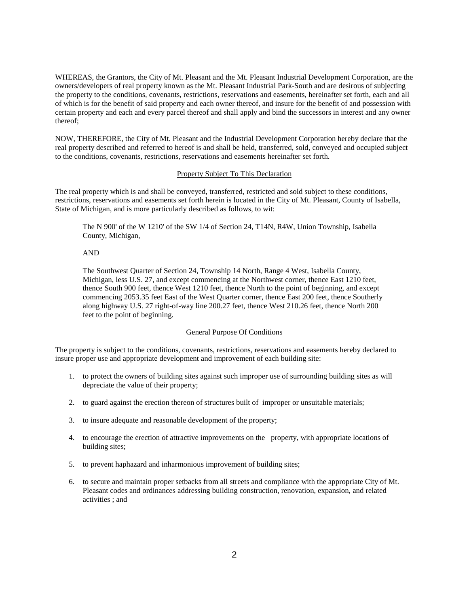WHEREAS, the Grantors, the City of Mt. Pleasant and the Mt. Pleasant Industrial Development Corporation, are the owners/developers of real property known as the Mt. Pleasant Industrial Park-South and are desirous of subjecting the property to the conditions, covenants, restrictions, reservations and easements, hereinafter set forth, each and all of which is for the benefit of said property and each owner thereof, and insure for the benefit of and possession with certain property and each and every parcel thereof and shall apply and bind the successors in interest and any owner thereof;

NOW, THEREFORE, the City of Mt. Pleasant and the Industrial Development Corporation hereby declare that the real property described and referred to hereof is and shall be held, transferred, sold, conveyed and occupied subject to the conditions, covenants, restrictions, reservations and easements hereinafter set forth.

#### Property Subject To This Declaration

The real property which is and shall be conveyed, transferred, restricted and sold subject to these conditions, restrictions, reservations and easements set forth herein is located in the City of Mt. Pleasant, County of Isabella, State of Michigan, and is more particularly described as follows, to wit:

The N 900' of the W 1210' of the SW 1/4 of Section 24, T14N, R4W, Union Township, Isabella County, Michigan,

## AND

The Southwest Quarter of Section 24, Township 14 North, Range 4 West, Isabella County, Michigan, less U.S. 27, and except commencing at the Northwest corner, thence East 1210 feet, thence South 900 feet, thence West 1210 feet, thence North to the point of beginning, and except commencing 2053.35 feet East of the West Quarter corner, thence East 200 feet, thence Southerly along highway U.S. 27 right-of-way line 200.27 feet, thence West 210.26 feet, thence North 200 feet to the point of beginning.

#### General Purpose Of Conditions

The property is subject to the conditions, covenants, restrictions, reservations and easements hereby declared to insure proper use and appropriate development and improvement of each building site:

- 1. to protect the owners of building sites against such improper use of surrounding building sites as will depreciate the value of their property;
- 2. to guard against the erection thereon of structures built of improper or unsuitable materials;
- 3. to insure adequate and reasonable development of the property;
- 4. to encourage the erection of attractive improvements on the property, with appropriate locations of building sites;
- 5. to prevent haphazard and inharmonious improvement of building sites;
- 6. to secure and maintain proper setbacks from all streets and compliance with the appropriate City of Mt. Pleasant codes and ordinances addressing building construction, renovation, expansion, and related activities ; and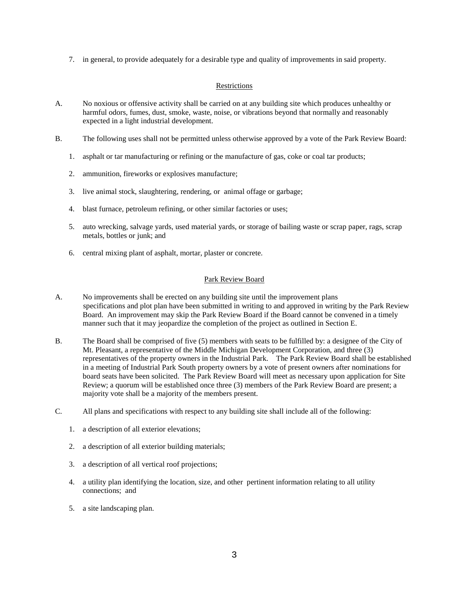7. in general, to provide adequately for a desirable type and quality of improvements in said property.

#### Restrictions

- A. No noxious or offensive activity shall be carried on at any building site which produces unhealthy or harmful odors, fumes, dust, smoke, waste, noise, or vibrations beyond that normally and reasonably expected in a light industrial development.
- B. The following uses shall not be permitted unless otherwise approved by a vote of the Park Review Board:
	- 1. asphalt or tar manufacturing or refining or the manufacture of gas, coke or coal tar products;
	- 2. ammunition, fireworks or explosives manufacture;
	- 3. live animal stock, slaughtering, rendering, or animal offage or garbage;
	- 4. blast furnace, petroleum refining, or other similar factories or uses;
	- 5. auto wrecking, salvage yards, used material yards, or storage of bailing waste or scrap paper, rags, scrap metals, bottles or junk; and
	- 6. central mixing plant of asphalt, mortar, plaster or concrete.

#### Park Review Board

- A. No improvements shall be erected on any building site until the improvement plans specifications and plot plan have been submitted in writing to and approved in writing by the Park Review Board. An improvement may skip the Park Review Board if the Board cannot be convened in a timely manner such that it may jeopardize the completion of the project as outlined in Section E.
- B. The Board shall be comprised of five (5) members with seats to be fulfilled by: a designee of the City of Mt. Pleasant, a representative of the Middle Michigan Development Corporation, and three (3) representatives of the property owners in the Industrial Park. The Park Review Board shall be established in a meeting of Industrial Park South property owners by a vote of present owners after nominations for board seats have been solicited. The Park Review Board will meet as necessary upon application for Site Review; a quorum will be established once three (3) members of the Park Review Board are present; a majority vote shall be a majority of the members present.
- C. All plans and specifications with respect to any building site shall include all of the following:
	- 1. a description of all exterior elevations;
	- 2. a description of all exterior building materials;
	- 3. a description of all vertical roof projections;
	- 4. a utility plan identifying the location, size, and other pertinent information relating to all utility connections; and
	- 5. a site landscaping plan.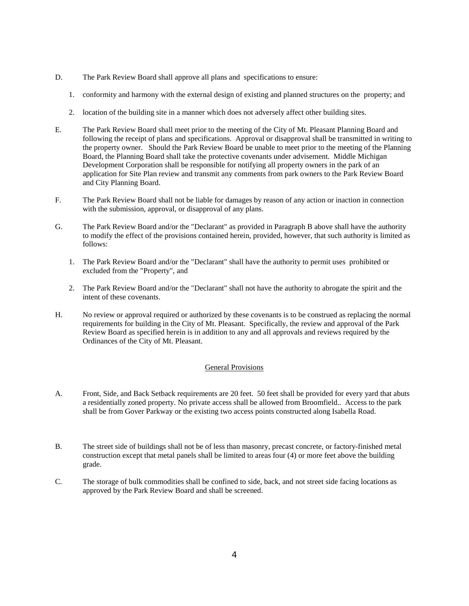- D. The Park Review Board shall approve all plans and specifications to ensure:
	- 1. conformity and harmony with the external design of existing and planned structures on the property; and
	- 2. location of the building site in a manner which does not adversely affect other building sites.
- E. The Park Review Board shall meet prior to the meeting of the City of Mt. Pleasant Planning Board and following the receipt of plans and specifications. Approval or disapproval shall be transmitted in writing to the property owner. Should the Park Review Board be unable to meet prior to the meeting of the Planning Board, the Planning Board shall take the protective covenants under advisement. Middle Michigan Development Corporation shall be responsible for notifying all property owners in the park of an application for Site Plan review and transmit any comments from park owners to the Park Review Board and City Planning Board.
- F. The Park Review Board shall not be liable for damages by reason of any action or inaction in connection with the submission, approval, or disapproval of any plans.
- G. The Park Review Board and/or the "Declarant" as provided in Paragraph B above shall have the authority to modify the effect of the provisions contained herein, provided, however, that such authority is limited as follows:
	- 1. The Park Review Board and/or the "Declarant" shall have the authority to permit uses prohibited or excluded from the "Property", and
	- 2. The Park Review Board and/or the "Declarant" shall not have the authority to abrogate the spirit and the intent of these covenants.
- H. No review or approval required or authorized by these covenants is to be construed as replacing the normal requirements for building in the City of Mt. Pleasant. Specifically, the review and approval of the Park Review Board as specified herein is in addition to any and all approvals and reviews required by the Ordinances of the City of Mt. Pleasant.

## General Provisions

- A. Front, Side, and Back Setback requirements are 20 feet. 50 feet shall be provided for every yard that abuts a residentially zoned property. No private access shall be allowed from Broomfield.. Access to the park shall be from Gover Parkway or the existing two access points constructed along Isabella Road.
- B. The street side of buildings shall not be of less than masonry, precast concrete, or factory-finished metal construction except that metal panels shall be limited to areas four (4) or more feet above the building grade.
- C. The storage of bulk commodities shall be confined to side, back, and not street side facing locations as approved by the Park Review Board and shall be screened.